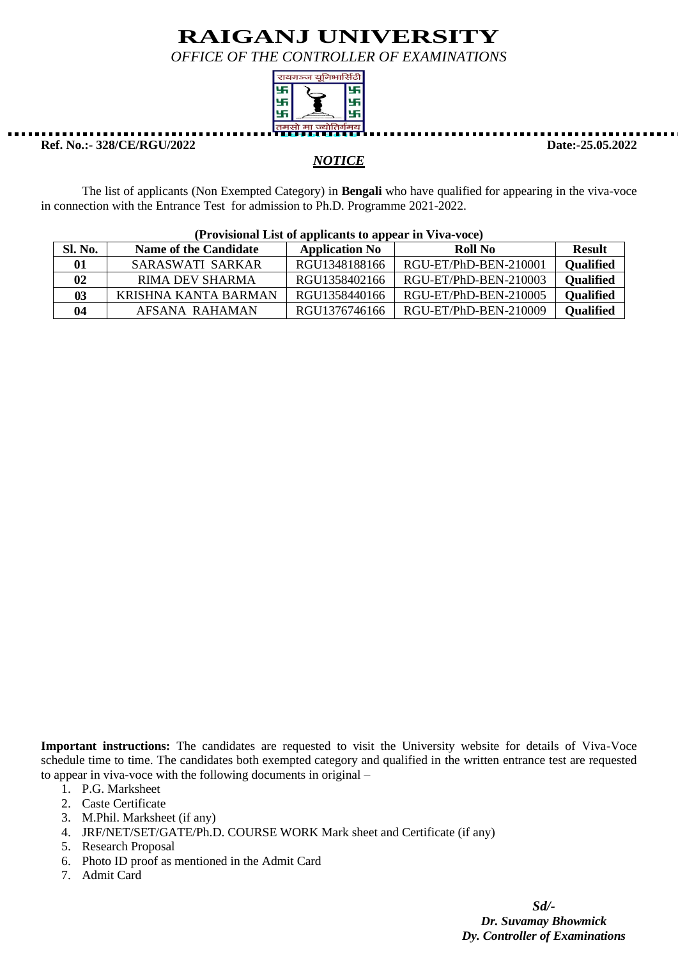*OFFICE OF THE CONTROLLER OF EXAMINATIONS*



**Ref. No.:- 328/CE/RGU/2022 Date:-25.05.2022**

### *NOTICE*

The list of applicants (Non Exempted Category) in **Bengali** who have qualified for appearing in the viva-voce in connection with the Entrance Test for admission to Ph.D. Programme 2021-2022.

| $(110\text{v}1\text{s}10\text{u}a1\text{u}1\text{s}1\text{v}1\text{u}1\text{u}1\text{u}1\text{u}1\text{u}1\text{u}1\text{u}1\text{u}1\text{u}1\text{u}1\text{u}1\text{u}1\text{u}1\text{u}1\text{u}1\text{u}1\text{u}1\text{u}1\text{u}1\text{u}1\text{u}1\text{u}1\text{u}1\text{u}1\text{u}1\text{u}1\text{u}1\text{u}1\text{u}1\text{u}$ |                              |                       |                       |                  |  |
|---------------------------------------------------------------------------------------------------------------------------------------------------------------------------------------------------------------------------------------------------------------------------------------------------------------------------------------------|------------------------------|-----------------------|-----------------------|------------------|--|
| Sl. No.                                                                                                                                                                                                                                                                                                                                     | <b>Name of the Candidate</b> | <b>Application No</b> | Roll No               | <b>Result</b>    |  |
| 01                                                                                                                                                                                                                                                                                                                                          | SARASWATI SARKAR             | RGU1348188166         | RGU-ET/PhD-BEN-210001 | <b>Qualified</b> |  |
| $\mathbf{02}$                                                                                                                                                                                                                                                                                                                               | <b>RIMA DEV SHARMA</b>       | RGU1358402166         | RGU-ET/PhD-BEN-210003 | <b>Qualified</b> |  |
| 03                                                                                                                                                                                                                                                                                                                                          | KRISHNA KANTA BARMAN         | RGU1358440166         | RGU-ET/PhD-BEN-210005 | <b>Qualified</b> |  |
| 04                                                                                                                                                                                                                                                                                                                                          | AFSANA RAHAMAN               | RGU1376746166         | RGU-ET/PhD-BEN-210009 | <b>Qualified</b> |  |

### **(Provisional List of applicants to appear in Viva-voce)**

**Important instructions:** The candidates are requested to visit the University website for details of Viva-Voce schedule time to time. The candidates both exempted category and qualified in the written entrance test are requested to appear in viva-voce with the following documents in original –

- 1. P.G. Marksheet
- 2. Caste Certificate
- 3. M.Phil. Marksheet (if any)
- 4. JRF/NET/SET/GATE/Ph.D. COURSE WORK Mark sheet and Certificate (if any)
- 5. Research Proposal
- 6. Photo ID proof as mentioned in the Admit Card
- 7. Admit Card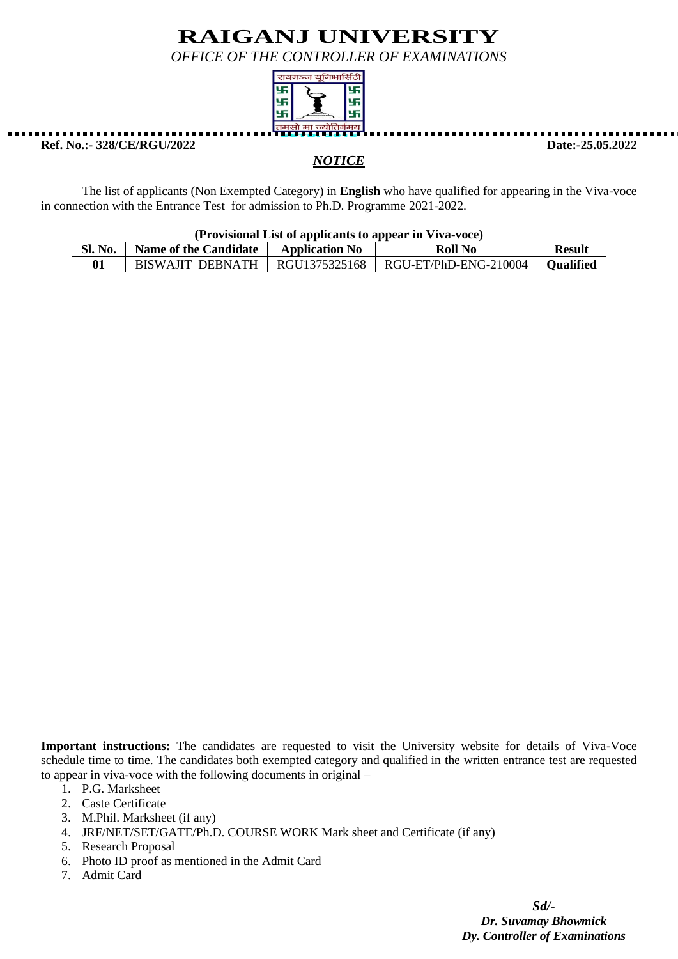*OFFICE OF THE CONTROLLER OF EXAMINATIONS*



**Ref. No.:- 328/CE/RGU/2022 Date:-25.05.2022**

*NOTICE*

The list of applicants (Non Exempted Category) in **English** who have qualified for appearing in the Viva-voce in connection with the Entrance Test for admission to Ph.D. Programme 2021-2022.

| SL<br>No. | <b>Name of the Candidate</b> | <b>Application No</b> | Roll No                 | Result           |
|-----------|------------------------------|-----------------------|-------------------------|------------------|
|           | BISWAJIT DERNATH             | RGU1375325168         | $RGU-ET/PhD-ENG-210004$ | <b>Oualified</b> |

**Important instructions:** The candidates are requested to visit the University website for details of Viva-Voce schedule time to time. The candidates both exempted category and qualified in the written entrance test are requested to appear in viva-voce with the following documents in original –

- 1. P.G. Marksheet
- 2. Caste Certificate
- 3. M.Phil. Marksheet (if any)
- 4. JRF/NET/SET/GATE/Ph.D. COURSE WORK Mark sheet and Certificate (if any)
- 5. Research Proposal
- 6. Photo ID proof as mentioned in the Admit Card
- 7. Admit Card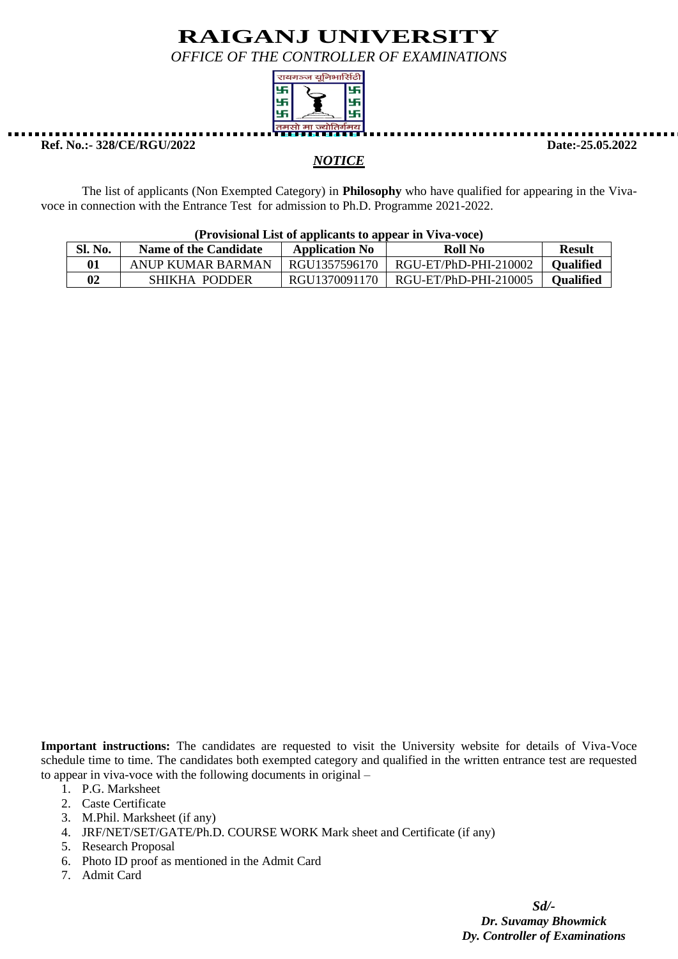*OFFICE OF THE CONTROLLER OF EXAMINATIONS*



**Ref. No.:- 328/CE/RGU/2022 Date:-25.05.2022**

### *NOTICE*

The list of applicants (Non Exempted Category) in **Philosophy** who have qualified for appearing in the Vivavoce in connection with the Entrance Test for admission to Ph.D. Programme 2021-2022.

| (Provisional List of applicants to appear in Viva-voce) |
|---------------------------------------------------------|
|---------------------------------------------------------|

| Sl. No. | Name of the Candidate | <b>Application No</b> | Roll No               | <b>Result</b> |
|---------|-----------------------|-----------------------|-----------------------|---------------|
|         | ANUP KUMAR BARMAN     | RGU1357596170         | RGU-ET/PhD-PHI-210002 | Oualified     |
|         | SHIKHA PODDER         | RGU1370091170         | RGU-ET/PhD-PHI-210005 | Oualified     |

**Important instructions:** The candidates are requested to visit the University website for details of Viva-Voce schedule time to time. The candidates both exempted category and qualified in the written entrance test are requested to appear in viva-voce with the following documents in original –

- 1. P.G. Marksheet
- 2. Caste Certificate
- 3. M.Phil. Marksheet (if any)
- 4. JRF/NET/SET/GATE/Ph.D. COURSE WORK Mark sheet and Certificate (if any)
- 5. Research Proposal
- 6. Photo ID proof as mentioned in the Admit Card
- 7. Admit Card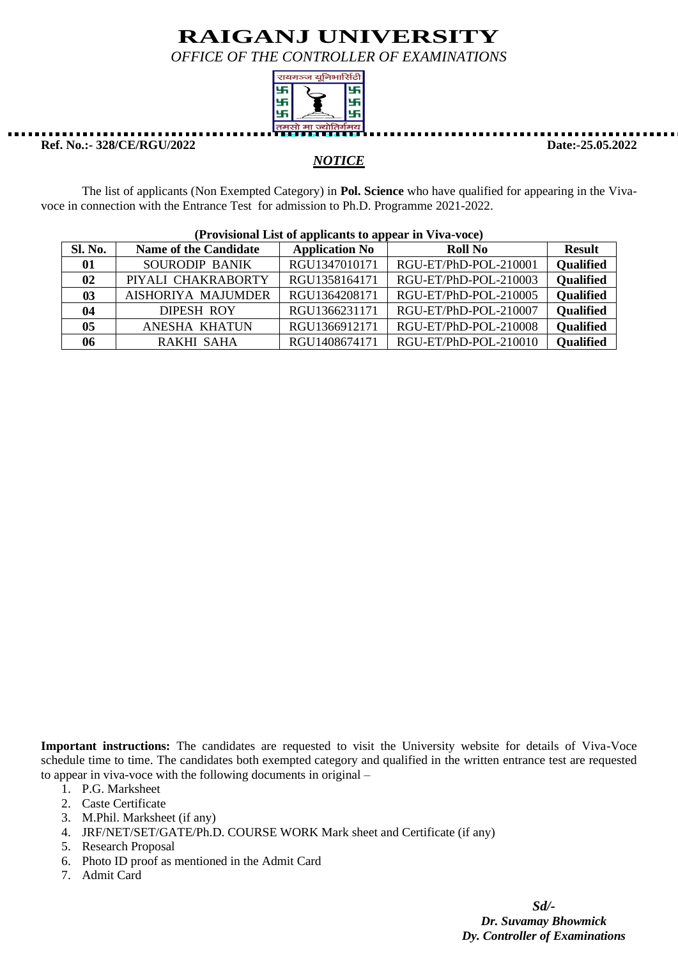*OFFICE OF THE CONTROLLER OF EXAMINATIONS*



**Ref. No.:- 328/CE/RGU/2022 Date:-25.05.2022**

### *NOTICE*

The list of applicants (Non Exempted Category) in **Pol. Science** who have qualified for appearing in the Vivavoce in connection with the Entrance Test for admission to Ph.D. Programme 2021-2022.

|         | $(110)$ is not that the computation of appear in $(110)$ |                       |                       |                  |  |  |
|---------|----------------------------------------------------------|-----------------------|-----------------------|------------------|--|--|
| Sl. No. | <b>Name of the Candidate</b>                             | <b>Application No</b> | <b>Roll No</b>        | <b>Result</b>    |  |  |
| 01      | <b>SOURODIP BANIK</b>                                    | RGU1347010171         | RGU-ET/PhD-POL-210001 | Qualified        |  |  |
| 02      | PIYALI CHAKRABORTY                                       | RGU1358164171         | RGU-ET/PhD-POL-210003 | <b>Qualified</b> |  |  |
| 03      | <b>AISHORIYA MAJUMDER</b>                                | RGU1364208171         | RGU-ET/PhD-POL-210005 | <b>Qualified</b> |  |  |
| 04      | <b>DIPESH ROY</b>                                        | RGU1366231171         | RGU-ET/PhD-POL-210007 | <b>Qualified</b> |  |  |
| 05      | ANESHA KHATUN                                            | RGU1366912171         | RGU-ET/PhD-POL-210008 | <b>Qualified</b> |  |  |
| 06      | <b>RAKHI SAHA</b>                                        | RGU1408674171         | RGU-ET/PhD-POL-210010 | <b>Qualified</b> |  |  |

#### **(Provisional List of applicants to appear in Viva-voce)**

**Important instructions:** The candidates are requested to visit the University website for details of Viva-Voce schedule time to time. The candidates both exempted category and qualified in the written entrance test are requested to appear in viva-voce with the following documents in original –

- 1. P.G. Marksheet
- 2. Caste Certificate
- 3. M.Phil. Marksheet (if any)
- 4. JRF/NET/SET/GATE/Ph.D. COURSE WORK Mark sheet and Certificate (if any)
- 5. Research Proposal
- 6. Photo ID proof as mentioned in the Admit Card
- 7. Admit Card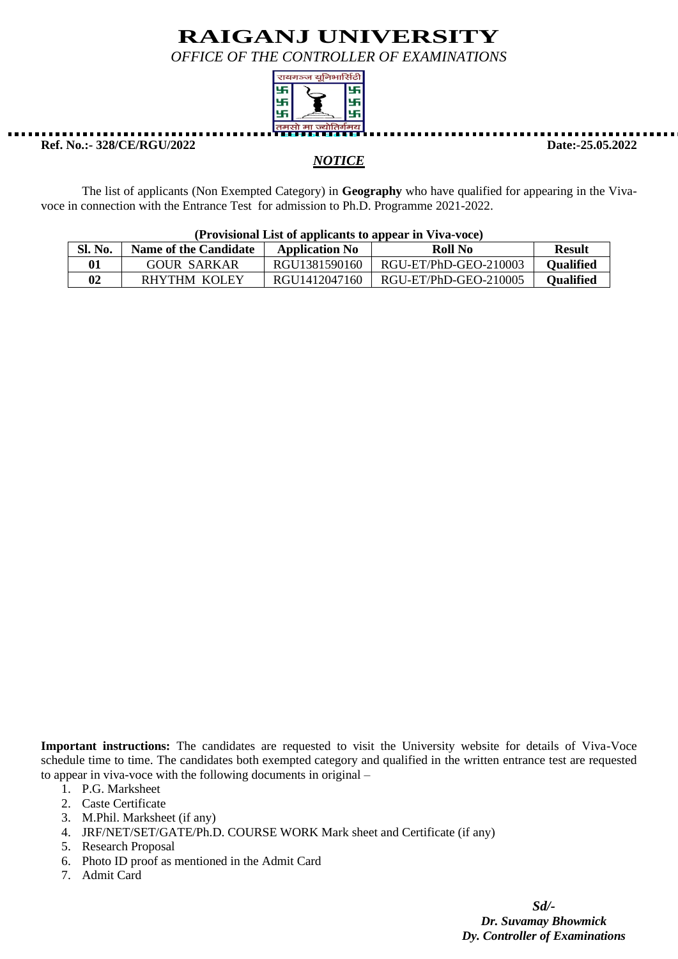*OFFICE OF THE CONTROLLER OF EXAMINATIONS*



**Ref. No.:- 328/CE/RGU/2022 Date:-25.05.2022**

### *NOTICE*

The list of applicants (Non Exempted Category) in **Geography** who have qualified for appearing in the Vivavoce in connection with the Entrance Test for admission to Ph.D. Programme 2021-2022.

| $(110)$ is not that the computation of appear in $(110)$ is $(110)$ |                       |                       |                       |                  |  |
|---------------------------------------------------------------------|-----------------------|-----------------------|-----------------------|------------------|--|
| Sl. No.                                                             | Name of the Candidate | <b>Application No</b> | Roll No               | <b>Result</b>    |  |
| 01                                                                  | <b>GOUR SARKAR</b>    | RGU1381590160         | RGU-ET/PhD-GEO-210003 | <b>Oualified</b> |  |
| $\bf{02}$                                                           | RHYTHM KOLEY          | RGU1412047160         | RGU-ET/PhD-GEO-210005 | <b>Oualified</b> |  |

**(Provisional List of applicants to appear in Viva-voce)**

**Important instructions:** The candidates are requested to visit the University website for details of Viva-Voce schedule time to time. The candidates both exempted category and qualified in the written entrance test are requested to appear in viva-voce with the following documents in original –

- 1. P.G. Marksheet
- 2. Caste Certificate
- 3. M.Phil. Marksheet (if any)
- 4. JRF/NET/SET/GATE/Ph.D. COURSE WORK Mark sheet and Certificate (if any)
- 5. Research Proposal
- 6. Photo ID proof as mentioned in the Admit Card
- 7. Admit Card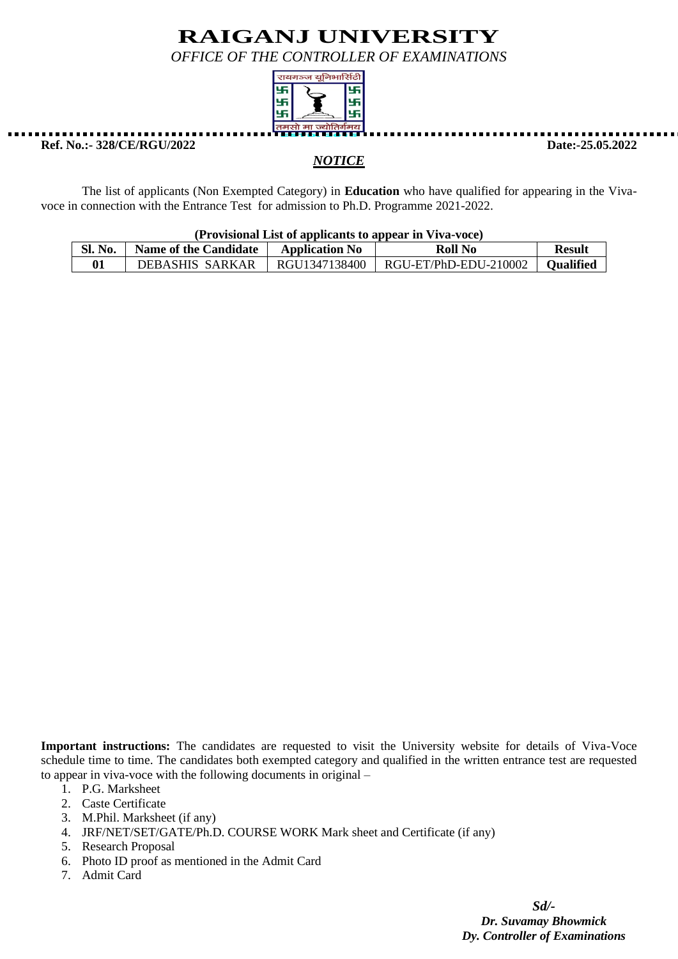*OFFICE OF THE CONTROLLER OF EXAMINATIONS*



**Ref. No.:- 328/CE/RGU/2022 Date:-25.05.2022**

### *NOTICE*

The list of applicants (Non Exempted Category) in **Education** who have qualified for appearing in the Vivavoce in connection with the Entrance Test for admission to Ph.D. Programme 2021-2022.

| (Provisional List of applicants to appear in Viva-voce) |  |  |
|---------------------------------------------------------|--|--|
|                                                         |  |  |

| Sl. No. | <b>Name of the Candidate</b> | <b>Application No</b> | <b>Roll No</b>        | Result    |
|---------|------------------------------|-----------------------|-----------------------|-----------|
|         | DEBASHIS SARKAR              | RGU1347138400         | RGU-ET/PhD-EDU-210002 | Oualified |

**Important instructions:** The candidates are requested to visit the University website for details of Viva-Voce schedule time to time. The candidates both exempted category and qualified in the written entrance test are requested to appear in viva-voce with the following documents in original –

- 1. P.G. Marksheet
- 2. Caste Certificate
- 3. M.Phil. Marksheet (if any)
- 4. JRF/NET/SET/GATE/Ph.D. COURSE WORK Mark sheet and Certificate (if any)
- 5. Research Proposal
- 6. Photo ID proof as mentioned in the Admit Card
- 7. Admit Card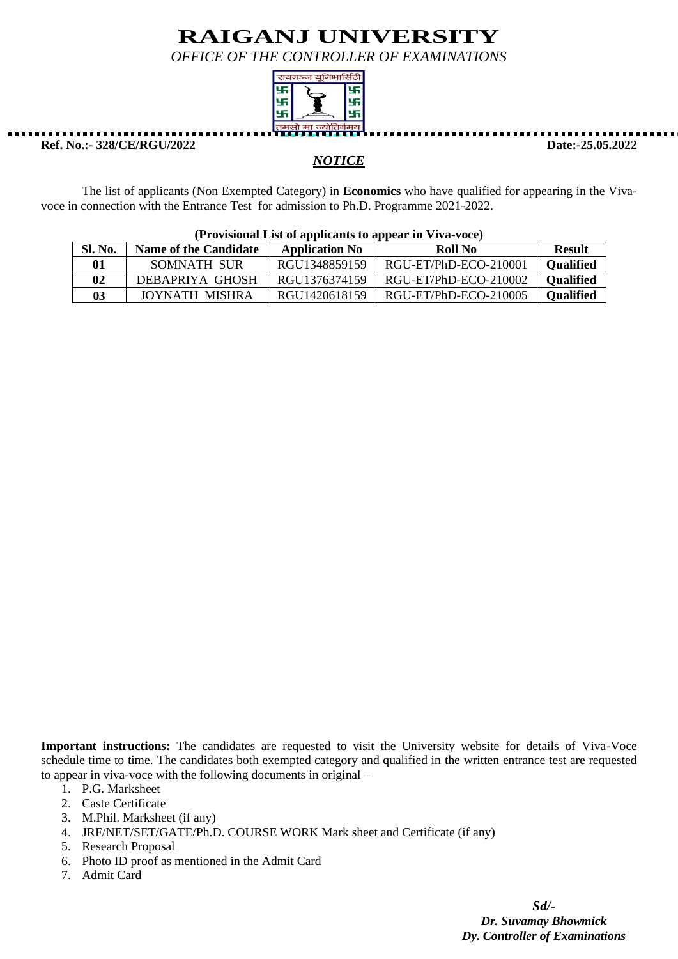*OFFICE OF THE CONTROLLER OF EXAMINATIONS*



**Ref. No.:- 328/CE/RGU/2022 Date:-25.05.2022**

### *NOTICE*

The list of applicants (Non Exempted Category) in **Economics** who have qualified for appearing in the Vivavoce in connection with the Entrance Test for admission to Ph.D. Programme 2021-2022.

| (Provisional List of applicants to appear in Viva-voce) |                              |                       |                       |                  |  |
|---------------------------------------------------------|------------------------------|-----------------------|-----------------------|------------------|--|
| <b>Sl. No.</b>                                          | <b>Name of the Candidate</b> | <b>Application No</b> | Roll No               | <b>Result</b>    |  |
| 01                                                      | SOMNATH SUR                  | RGU1348859159         | RGU-ET/PhD-ECO-210001 | <b>Qualified</b> |  |
| 02                                                      | DEBAPRIYA GHOSH              | RGU1376374159         | RGU-ET/PhD-ECO-210002 | <b>Qualified</b> |  |
| 03                                                      | JOYNATH MISHRA               | RGU1420618159         | RGU-ET/PhD-ECO-210005 | <b>Qualified</b> |  |

**Important instructions:** The candidates are requested to visit the University website for details of Viva-Voce schedule time to time. The candidates both exempted category and qualified in the written entrance test are requested to appear in viva-voce with the following documents in original –

- 1. P.G. Marksheet
- 2. Caste Certificate
- 3. M.Phil. Marksheet (if any)
- 4. JRF/NET/SET/GATE/Ph.D. COURSE WORK Mark sheet and Certificate (if any)
- 5. Research Proposal
- 6. Photo ID proof as mentioned in the Admit Card
- 7. Admit Card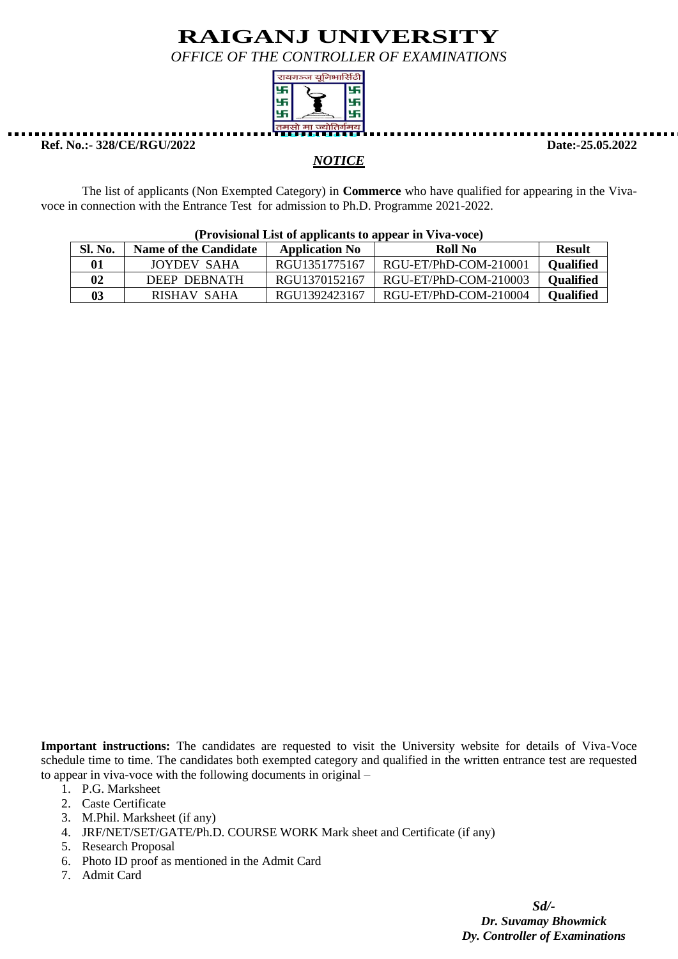*OFFICE OF THE CONTROLLER OF EXAMINATIONS*



**Ref. No.:- 328/CE/RGU/2022 Date:-25.05.2022**

### *NOTICE*

The list of applicants (Non Exempted Category) in **Commerce** who have qualified for appearing in the Vivavoce in connection with the Entrance Test for admission to Ph.D. Programme 2021-2022.

| (Provisional List of applicants to appear in Viva-voce) |                              |                       |                       |                  |  |
|---------------------------------------------------------|------------------------------|-----------------------|-----------------------|------------------|--|
| Sl. No.                                                 | <b>Name of the Candidate</b> | <b>Application No</b> | Roll No               | <b>Result</b>    |  |
| 01                                                      | JOYDEV SAHA                  | RGU1351775167         | RGU-ET/PhD-COM-210001 | <b>Qualified</b> |  |
| 02                                                      | DEEP DEBNATH                 | RGU1370152167         | RGU-ET/PhD-COM-210003 | <b>Qualified</b> |  |
| 03                                                      | RISHAV SAHA                  | RGU1392423167         | RGU-ET/PhD-COM-210004 | <b>Qualified</b> |  |

**Important instructions:** The candidates are requested to visit the University website for details of Viva-Voce schedule time to time. The candidates both exempted category and qualified in the written entrance test are requested to appear in viva-voce with the following documents in original –

- 1. P.G. Marksheet
- 2. Caste Certificate
- 3. M.Phil. Marksheet (if any)
- 4. JRF/NET/SET/GATE/Ph.D. COURSE WORK Mark sheet and Certificate (if any)
- 5. Research Proposal
- 6. Photo ID proof as mentioned in the Admit Card
- 7. Admit Card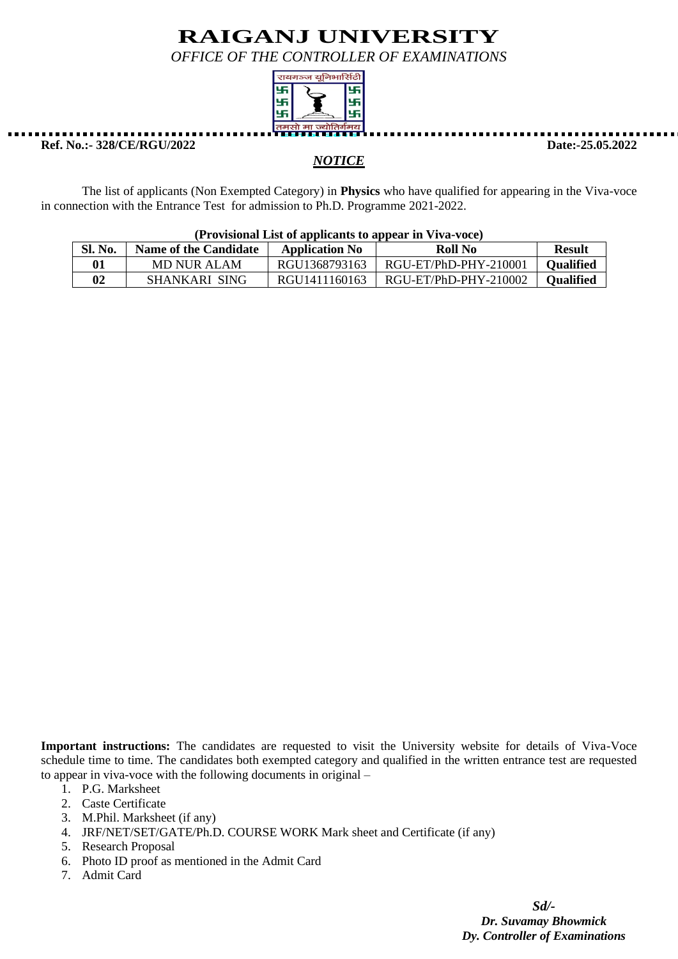*OFFICE OF THE CONTROLLER OF EXAMINATIONS*



#### **Ref. No.:- 328/CE/RGU/2022 Date:-25.05.2022**

#### *NOTICE*

The list of applicants (Non Exempted Category) in **Physics** who have qualified for appearing in the Viva-voce in connection with the Entrance Test for admission to Ph.D. Programme 2021-2022.

| $(110)$ is contained to application to appear in $(110)$ is $(110)$ |                              |                       |                       |                  |  |  |
|---------------------------------------------------------------------|------------------------------|-----------------------|-----------------------|------------------|--|--|
| Sl. No.                                                             | <b>Name of the Candidate</b> | <b>Application No</b> | Roll No               | <b>Result</b>    |  |  |
| 01                                                                  | MD NUR ALAM                  | RGU1368793163         | RGU-ET/PhD-PHY-210001 | <b>Oualified</b> |  |  |
| 02                                                                  | SHANKARI SING                | RGU1411160163         | RGU-ET/PhD-PHY-210002 | <b>Oualified</b> |  |  |

### **(Provisional List of applicants to appear in Viva-voce)**

**Important instructions:** The candidates are requested to visit the University website for details of Viva-Voce schedule time to time. The candidates both exempted category and qualified in the written entrance test are requested to appear in viva-voce with the following documents in original –

- 1. P.G. Marksheet
- 2. Caste Certificate
- 3. M.Phil. Marksheet (if any)
- 4. JRF/NET/SET/GATE/Ph.D. COURSE WORK Mark sheet and Certificate (if any)
- 5. Research Proposal
- 6. Photo ID proof as mentioned in the Admit Card
- 7. Admit Card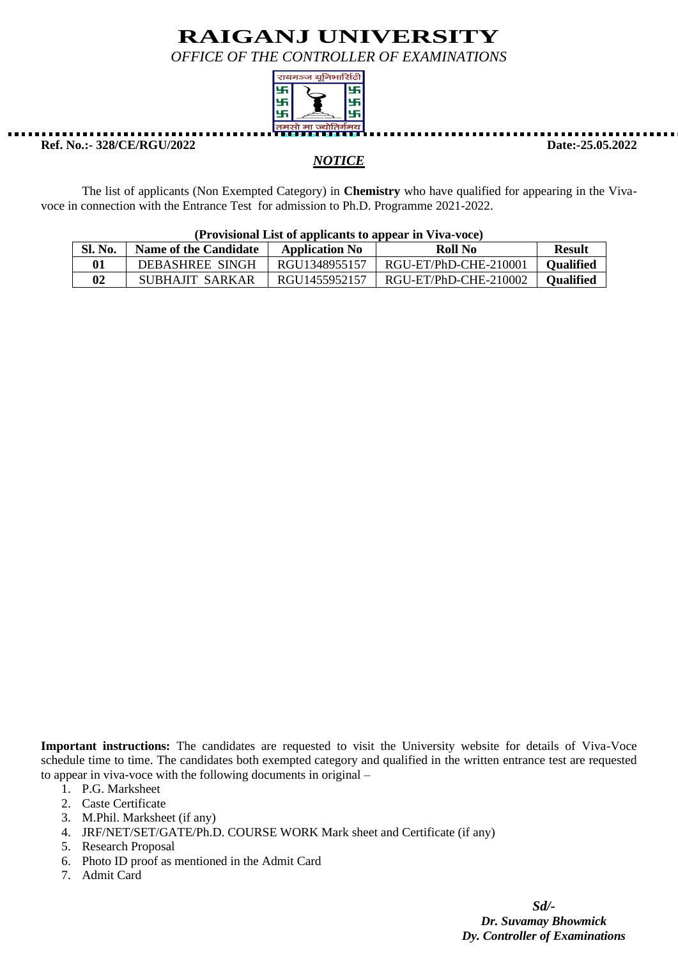*OFFICE OF THE CONTROLLER OF EXAMINATIONS*



### **Ref. No.:- 328/CE/RGU/2022 Date:-25.05.2022**

### *NOTICE*

The list of applicants (Non Exempted Category) in **Chemistry** who have qualified for appearing in the Vivavoce in connection with the Entrance Test for admission to Ph.D. Programme 2021-2022.

| $(110v1s)$ under the unique dependence of appear in $v1v2v000$ |                              |                       |                       |                  |  |
|----------------------------------------------------------------|------------------------------|-----------------------|-----------------------|------------------|--|
| Sl. No.                                                        | <b>Name of the Candidate</b> | <b>Application No</b> | Roll No               | <b>Result</b>    |  |
| 01                                                             | DEBASHREE SINGH              | RGU1348955157         | RGU-ET/PhD-CHE-210001 | <b>Qualified</b> |  |
| 02                                                             | SUBHAJIT SARKAR              | RGU1455952157         | RGU-ET/PhD-CHE-210002 | <b>Oualified</b> |  |

### **(Provisional List of applicants to appear in Viva-voce)**

**Important instructions:** The candidates are requested to visit the University website for details of Viva-Voce schedule time to time. The candidates both exempted category and qualified in the written entrance test are requested to appear in viva-voce with the following documents in original –

- 1. P.G. Marksheet
- 2. Caste Certificate
- 3. M.Phil. Marksheet (if any)
- 4. JRF/NET/SET/GATE/Ph.D. COURSE WORK Mark sheet and Certificate (if any)
- 5. Research Proposal
- 6. Photo ID proof as mentioned in the Admit Card
- 7. Admit Card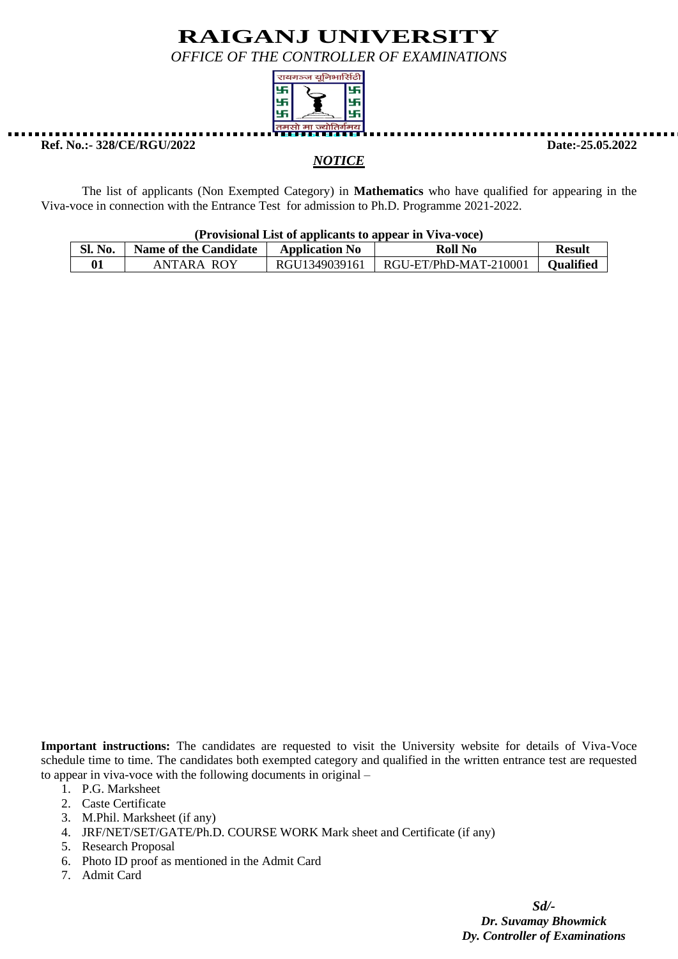*OFFICE OF THE CONTROLLER OF EXAMINATIONS*



**Ref. No.:- 328/CE/RGU/2022 Date:-25.05.2022**

The list of applicants (Non Exempted Category) in **Mathematics** who have qualified for appearing in the Viva-voce in connection with the Entrance Test for admission to Ph.D. Programme 2021-2022.

*NOTICE*

#### **(Provisional List of applicants to appear in Viva-voce)**

| SL <sub>1</sub><br>N <sub>0</sub> | <b>Name of the Candidate</b> | <b>Application No</b> | Roll No                      | Result           |
|-----------------------------------|------------------------------|-----------------------|------------------------------|------------------|
|                                   | ANTARA ROY                   | RGU1349039161         | $\mid$ RGU-ET/PhD-MAT-210001 | <b>Oualified</b> |

**Important instructions:** The candidates are requested to visit the University website for details of Viva-Voce schedule time to time. The candidates both exempted category and qualified in the written entrance test are requested to appear in viva-voce with the following documents in original –

- 1. P.G. Marksheet
- 2. Caste Certificate
- 3. M.Phil. Marksheet (if any)
- 4. JRF/NET/SET/GATE/Ph.D. COURSE WORK Mark sheet and Certificate (if any)
- 5. Research Proposal
- 6. Photo ID proof as mentioned in the Admit Card
- 7. Admit Card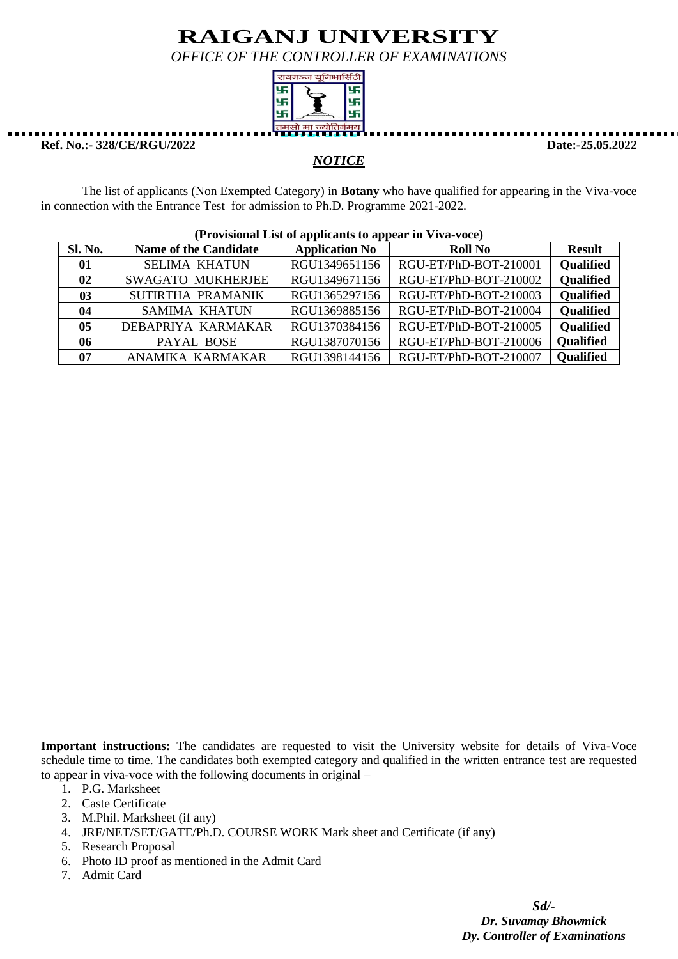*OFFICE OF THE CONTROLLER OF EXAMINATIONS*



**Ref. No.:- 328/CE/RGU/2022 Date:-25.05.2022**

### *NOTICE*

The list of applicants (Non Exempted Category) in **Botany** who have qualified for appearing in the Viva-voce in connection with the Entrance Test for admission to Ph.D. Programme 2021-2022.

| (Provisional List of applicants to appear in Viva-Voce) |                              |                       |                       |                  |  |
|---------------------------------------------------------|------------------------------|-----------------------|-----------------------|------------------|--|
| <b>Sl. No.</b>                                          | <b>Name of the Candidate</b> | <b>Application No</b> | <b>Roll No</b>        | <b>Result</b>    |  |
| 01                                                      | <b>SELIMA KHATUN</b>         | RGU1349651156         | RGU-ET/PhD-BOT-210001 | <b>Qualified</b> |  |
| 02                                                      | <b>SWAGATO MUKHERJEE</b>     | RGU1349671156         | RGU-ET/PhD-BOT-210002 | <b>Qualified</b> |  |
| $\boldsymbol{03}$                                       | SUTIRTHA PRAMANIK            | RGU1365297156         | RGU-ET/PhD-BOT-210003 | Qualified        |  |
| 04                                                      | <b>SAMIMA KHATUN</b>         | RGU1369885156         | RGU-ET/PhD-BOT-210004 | <b>Qualified</b> |  |
| 05                                                      | DEBAPRIYA KARMAKAR           | RGU1370384156         | RGU-ET/PhD-BOT-210005 | <b>Qualified</b> |  |
| 06                                                      | PAYAL BOSE                   | RGU1387070156         | RGU-ET/PhD-BOT-210006 | <b>Qualified</b> |  |
| 07                                                      | ANAMIKA KARMAKAR             | RGU1398144156         | RGU-ET/PhD-BOT-210007 | <b>Qualified</b> |  |

### **(Provisional List of applicants to appear in Viva-voce)**

**Important instructions:** The candidates are requested to visit the University website for details of Viva-Voce schedule time to time. The candidates both exempted category and qualified in the written entrance test are requested to appear in viva-voce with the following documents in original –

- 1. P.G. Marksheet
- 2. Caste Certificate
- 3. M.Phil. Marksheet (if any)
- 4. JRF/NET/SET/GATE/Ph.D. COURSE WORK Mark sheet and Certificate (if any)
- 5. Research Proposal
- 6. Photo ID proof as mentioned in the Admit Card
- 7. Admit Card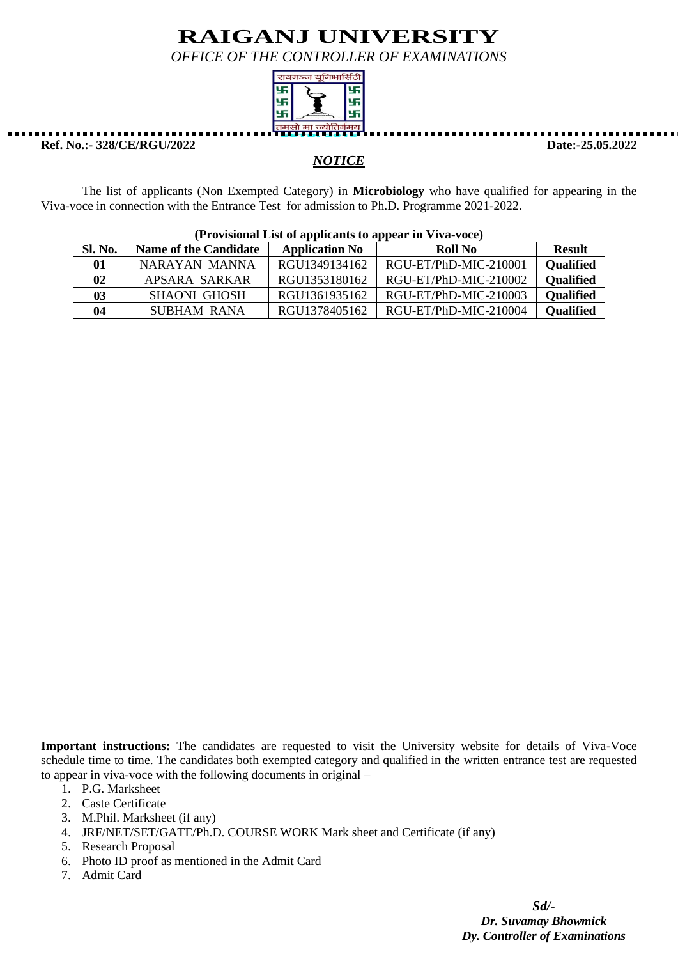*OFFICE OF THE CONTROLLER OF EXAMINATIONS*



**Ref. No.:- 328/CE/RGU/2022 Date:-25.05.2022**

### *NOTICE*

The list of applicants (Non Exempted Category) in **Microbiology** who have qualified for appearing in the Viva-voce in connection with the Entrance Test for admission to Ph.D. Programme 2021-2022.

| $(110)$ is contact that of application to appear in $(110)$ |                              |                       |                       |                  |
|-------------------------------------------------------------|------------------------------|-----------------------|-----------------------|------------------|
| Sl. No.                                                     | <b>Name of the Candidate</b> | <b>Application No</b> | Roll No               | <b>Result</b>    |
| 01                                                          | NARAYAN MANNA                | RGU1349134162         | RGU-ET/PhD-MIC-210001 | <b>Qualified</b> |
| 02                                                          | APSARA SARKAR                | RGU1353180162         | RGU-ET/PhD-MIC-210002 | <b>Qualified</b> |
| 03                                                          | SHAONI GHOSH                 | RGU1361935162         | RGU-ET/PhD-MIC-210003 | <b>Qualified</b> |
| 04                                                          | <b>SUBHAM RANA</b>           | RGU1378405162         | RGU-ET/PhD-MIC-210004 | <b>Qualified</b> |

#### **(Provisional List of applicants to appear in Viva-voce)**

**Important instructions:** The candidates are requested to visit the University website for details of Viva-Voce schedule time to time. The candidates both exempted category and qualified in the written entrance test are requested to appear in viva-voce with the following documents in original –

- 1. P.G. Marksheet
- 2. Caste Certificate
- 3. M.Phil. Marksheet (if any)
- 4. JRF/NET/SET/GATE/Ph.D. COURSE WORK Mark sheet and Certificate (if any)
- 5. Research Proposal
- 6. Photo ID proof as mentioned in the Admit Card
- 7. Admit Card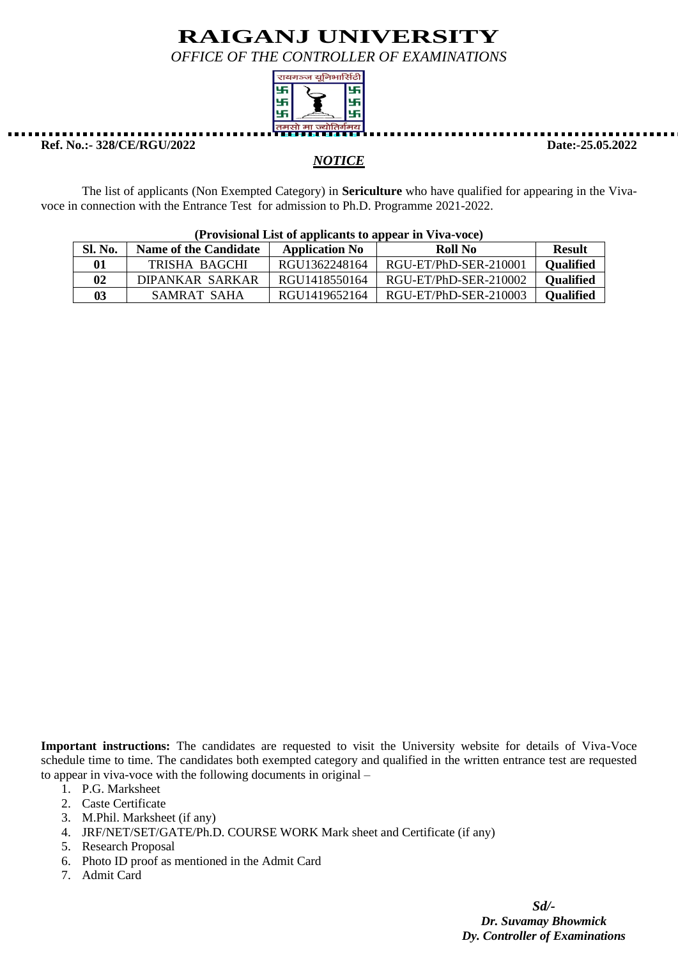*OFFICE OF THE CONTROLLER OF EXAMINATIONS*



**Ref. No.:- 328/CE/RGU/2022 Date:-25.05.2022**

#### *NOTICE*

The list of applicants (Non Exempted Category) in **Sericulture** who have qualified for appearing in the Vivavoce in connection with the Entrance Test for admission to Ph.D. Programme 2021-2022.

| <b>Sl. No.</b> | <b>Name of the Candidate</b> | <b>Application No</b> | Roll No               | <b>Result</b>    |  |
|----------------|------------------------------|-----------------------|-----------------------|------------------|--|
| 01             | TRISHA BAGCHI                | RGU1362248164         | RGU-ET/PhD-SER-210001 | <b>Qualified</b> |  |
| 02             | DIPANKAR SARKAR              | RGU1418550164         | RGU-ET/PhD-SER-210002 | <b>Qualified</b> |  |
| 03             | SAMRAT SAHA                  | RGU1419652164         | RGU-ET/PhD-SER-210003 | <b>Qualified</b> |  |

**(Provisional List of applicants to appear in Viva-voce)**

**Important instructions:** The candidates are requested to visit the University website for details of Viva-Voce schedule time to time. The candidates both exempted category and qualified in the written entrance test are requested to appear in viva-voce with the following documents in original –

- 1. P.G. Marksheet
- 2. Caste Certificate
- 3. M.Phil. Marksheet (if any)
- 4. JRF/NET/SET/GATE/Ph.D. COURSE WORK Mark sheet and Certificate (if any)
- 5. Research Proposal
- 6. Photo ID proof as mentioned in the Admit Card
- 7. Admit Card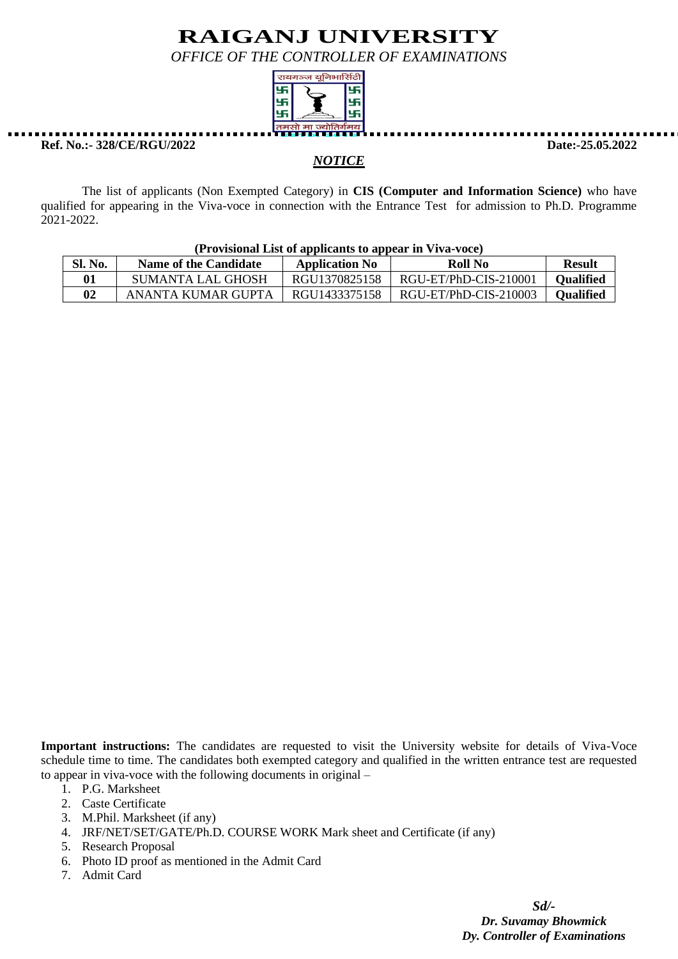*OFFICE OF THE CONTROLLER OF EXAMINATIONS*



**Ref. No.:- 328/CE/RGU/2022 Date:-25.05.2022**

#### *NOTICE*

The list of applicants (Non Exempted Category) in **CIS (Computer and Information Science)** who have qualified for appearing in the Viva-voce in connection with the Entrance Test for admission to Ph.D. Programme 2021-2022.

#### **(Provisional List of applicants to appear in Viva-voce)** Sl. No. Name of the Candidate Application No Roll No Result **01** SUMANTA LAL GHOSH RGU1370825158 RGU-ET/PhD-CIS-210001 Qualified **02** ANANTA KUMAR GUPTA | RGU1433375158 | RGU-ET/PhD-CIS-210003 | **Qualified**

**Important instructions:** The candidates are requested to visit the University website for details of Viva-Voce schedule time to time. The candidates both exempted category and qualified in the written entrance test are requested to appear in viva-voce with the following documents in original –

- 1. P.G. Marksheet
- 2. Caste Certificate
- 3. M.Phil. Marksheet (if any)
- 4. JRF/NET/SET/GATE/Ph.D. COURSE WORK Mark sheet and Certificate (if any)
- 5. Research Proposal
- 6. Photo ID proof as mentioned in the Admit Card
- 7. Admit Card